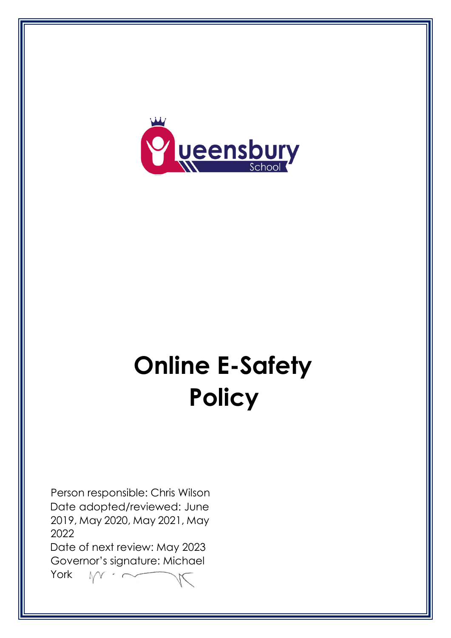

# **Online E-Safety Policy**

Person responsible: Chris Wilson Date adopted/reviewed: June 2019, May 2020, May 2021, May 2022

Date of next review: May 2023 Governor's signature: Michael

York $\Lambda$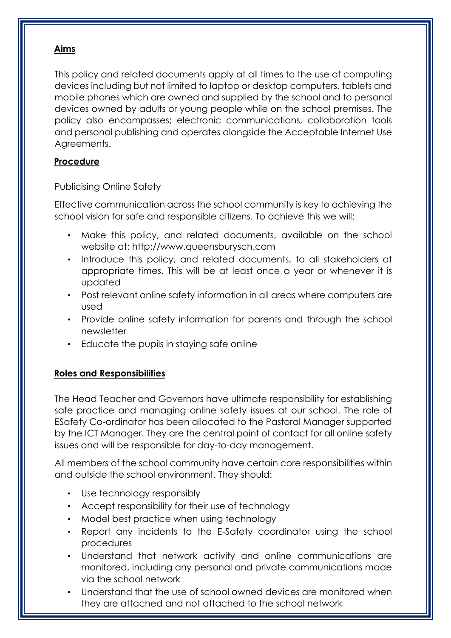## **Aims**

This policy and related documents apply at all times to the use of computing devices including but not limited to laptop or desktop computers, tablets and mobile phones which are owned and supplied by the school and to personal devices owned by adults or young people while on the school premises. The policy also encompasses; electronic communications, collaboration tools and personal publishing and operates alongside the Acceptable Internet Use Agreements.

## **Procedure**

## Publicising Online Safety

Effective communication across the school community is key to achieving the school vision for safe and responsible citizens. To achieve this we will:

- Make this policy, and related documents, available on the school website at: [http://www.queensburysch.com](http://www.westheathprimary.bham.sch.uk/)
- Introduce this policy, and related documents, to all stakeholders at appropriate times. This will be at least once a year or whenever it is updated
- Post relevant online safety information in all areas where computers are used
- Provide online safety information for parents and through the school newsletter
- Educate the pupils in staying safe online

# **Roles and Responsibilities**

The Head Teacher and Governors have ultimate responsibility for establishing safe practice and managing online safety issues at our school. The role of ESafety Co-ordinator has been allocated to the Pastoral Manager supported by the ICT Manager. They are the central point of contact for all online safety issues and will be responsible for day-to-day management.

All members of the school community have certain core responsibilities within and outside the school environment. They should:

- Use technology responsibly
- Accept responsibility for their use of technology
- Model best practice when using technology
- Report any incidents to the E-Safety coordinator using the school procedures
- Understand that network activity and online communications are monitored, including any personal and private communications made via the school network
- Understand that the use of school owned devices are monitored when they are attached and not attached to the school network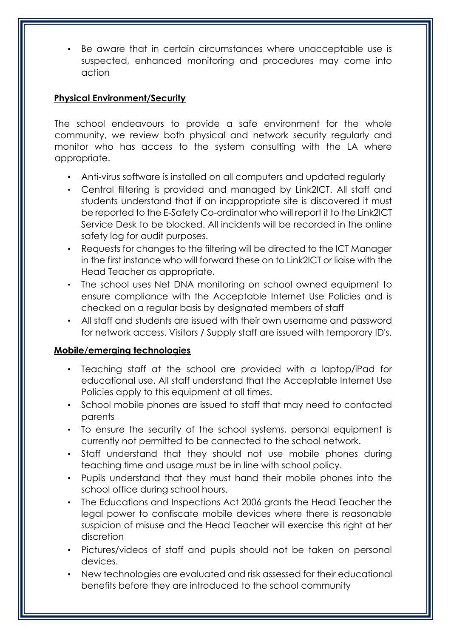Be aware that in certain circumstances where unacceptable use is suspected, enhanced monitoring and procedures may come into action

## **Physical Environment/Security**

The school endeavours to provide a safe environment for the whole community, we review both physical and network security regularly and monitor who has access to the system consulting with the LA where appropriate.

- Anti-virus software is installed on all computers and updated regularly
- Central filtering is provided and managed by Link2ICT. All staff and students understand that if an inappropriate site is discovered it must be reported to the E-Safety Co-ordinator who will report it to the Link2ICT Service Desk to be blocked. All incidents will be recorded in the online safety log for audit purposes.
- Requests for changes to the filtering will be directed to the ICT Manager in the first instance who will forward these on to Link2ICT or liaise with the Head Teacher as appropriate.
- The school uses Net DNA monitoring on school owned equipment to ensure compliance with the Acceptable Internet Use Policies and is checked on a regular basis by designated members of staff
- All staff and students are issued with their own username and password for network access. Visitors / Supply staff are issued with temporary ID's.

### **Mobile/emerging technologies**

- Teaching staff at the school are provided with a laptop/iPad for educational use. All staff understand that the Acceptable Internet Use Policies apply to this equipment at all times.
- School mobile phones are issued to staff that may need to contacted parents
- To ensure the security of the school systems, personal equipment is currently not permitted to be connected to the school network.
- Staff understand that they should not use mobile phones during teaching time and usage must be in line with school policy.
- Pupils understand that they must hand their mobile phones into the school office during school hours.
- The Educations and Inspections Act 2006 grants the Head Teacher the legal power to confiscate mobile devices where there is reasonable suspicion of misuse and the Head Teacher will exercise this right at her discretion
- Pictures/videos of staff and pupils should not be taken on personal devices.
- New technologies are evaluated and risk assessed for their educational benefits before they are introduced to the school community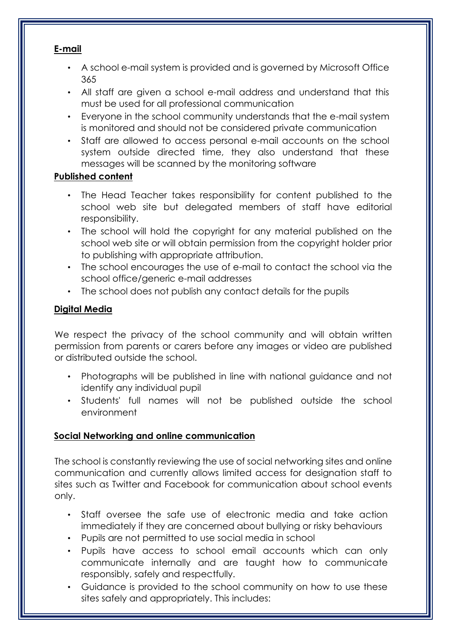## **E-mail**

- A school e-mail system is provided and is governed by Microsoft Office 365
- All staff are given a school e-mail address and understand that this must be used for all professional communication
- Everyone in the school community understands that the e-mail system is monitored and should not be considered private communication
- Staff are allowed to access personal e-mail accounts on the school system outside directed time, they also understand that these messages will be scanned by the monitoring software

# **Published content**

- The Head Teacher takes responsibility for content published to the school web site but delegated members of staff have editorial responsibility.
- The school will hold the copyright for any material published on the school web site or will obtain permission from the copyright holder prior to publishing with appropriate attribution.
- The school encourages the use of e-mail to contact the school via the school office/generic e-mail addresses
- The school does not publish any contact details for the pupils

# **Digital Media**

We respect the privacy of the school community and will obtain written permission from parents or carers before any images or video are published or distributed outside the school.

- Photographs will be published in line with national guidance and not identify any individual pupil
- Students' full names will not be published outside the school environment

# **Social Networking and online communication**

The school is constantly reviewing the use of social networking sites and online communication and currently allows limited access for designation staff to sites such as Twitter and Facebook for communication about school events only.

- Staff oversee the safe use of electronic media and take action immediately if they are concerned about bullying or risky behaviours
- Pupils are not permitted to use social media in school
- Pupils have access to school email accounts which can only communicate internally and are taught how to communicate responsibly, safely and respectfully.
- Guidance is provided to the school community on how to use these sites safely and appropriately. This includes: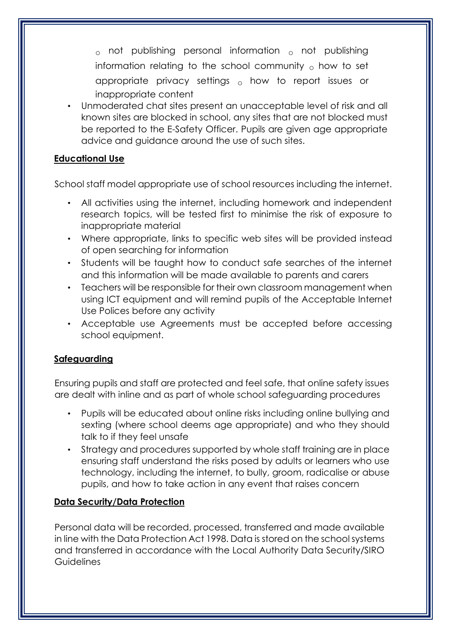$_{\circ}$  not publishing personal information  $_{\circ}$  not publishing information relating to the school community  $\sigma$  how to set appropriate privacy settings  $_{\circ}$  how to report issues or inappropriate content

• Unmoderated chat sites present an unacceptable level of risk and all known sites are blocked in school, any sites that are not blocked must be reported to the E-Safety Officer. Pupils are given age appropriate advice and guidance around the use of such sites.

## **Educational Use**

School staff model appropriate use of school resources including the internet.

- All activities using the internet, including homework and independent research topics, will be tested first to minimise the risk of exposure to inappropriate material
- Where appropriate, links to specific web sites will be provided instead of open searching for information
- Students will be taught how to conduct safe searches of the internet and this information will be made available to parents and carers
- Teachers will be responsible for their own classroom management when using ICT equipment and will remind pupils of the Acceptable Internet Use Polices before any activity
- Acceptable use Agreements must be accepted before accessing school equipment.

### **Safeguarding**

Ensuring pupils and staff are protected and feel safe, that online safety issues are dealt with inline and as part of whole school safeguarding procedures

- Pupils will be educated about online risks including online bullying and sexting (where school deems age appropriate) and who they should talk to if they feel unsafe
- Strategy and procedures supported by whole staff training are in place ensuring staff understand the risks posed by adults or learners who use technology, including the internet, to bully, groom, radicalise or abuse pupils, and how to take action in any event that raises concern

# **Data Security/Data Protection**

Personal data will be recorded, processed, transferred and made available in line with the Data Protection Act 1998. Data is stored on the school systems and transferred in accordance with the Local Authority Data Security/SIRO **Guidelines**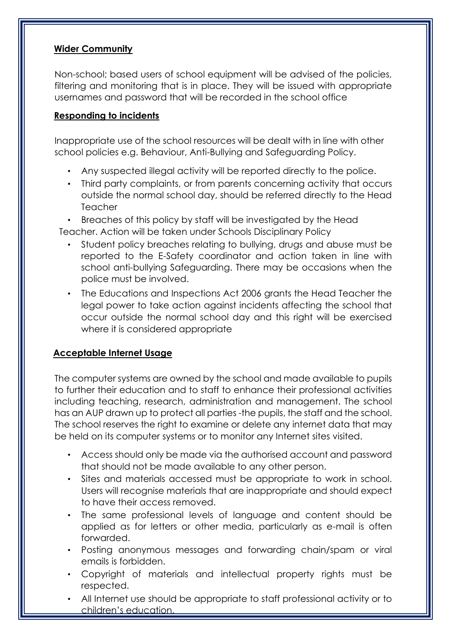## **Wider Community**

Non-school; based users of school equipment will be advised of the policies, filtering and monitoring that is in place. They will be issued with appropriate usernames and password that will be recorded in the school office

## **Responding to incidents**

Inappropriate use of the school resources will be dealt with in line with other school policies e.g. Behaviour, Anti-Bullying and Safeguarding Policy.

- Any suspected illegal activity will be reported directly to the police.
- Third party complaints, or from parents concerning activity that occurs outside the normal school day, should be referred directly to the Head **Teacher**
- Breaches of this policy by staff will be investigated by the Head Teacher. Action will be taken under Schools Disciplinary Policy
	- Student policy breaches relating to bullying, drugs and abuse must be reported to the E-Safety coordinator and action taken in line with school anti-bullying Safeguarding. There may be occasions when the police must be involved.
	- The Educations and Inspections Act 2006 grants the Head Teacher the legal power to take action against incidents affecting the school that occur outside the normal school day and this right will be exercised where it is considered appropriate

# **Acceptable Internet Usage**

The computer systems are owned by the school and made available to pupils to further their education and to staff to enhance their professional activities including teaching, research, administration and management. The school has an AUP drawn up to protect all parties -the pupils, the staff and the school. The school reserves the right to examine or delete any internet data that may be held on its computer systems or to monitor any Internet sites visited.

- Access should only be made via the authorised account and password that should not be made available to any other person.
- Sites and materials accessed must be appropriate to work in school. Users will recognise materials that are inappropriate and should expect to have their access removed.
- The same professional levels of language and content should be applied as for letters or other media, particularly as e-mail is often forwarded.
- Posting anonymous messages and forwarding chain/spam or viral emails is forbidden.
- Copyright of materials and intellectual property rights must be respected.
- All Internet use should be appropriate to staff professional activity or to children's education.